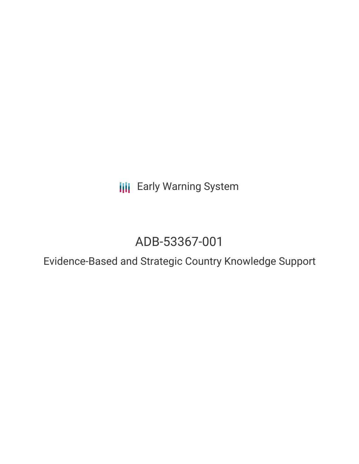**III** Early Warning System

# ADB-53367-001

Evidence-Based and Strategic Country Knowledge Support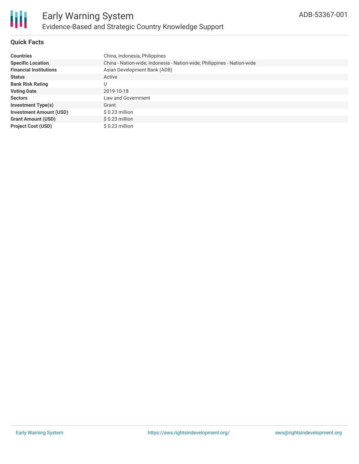

## **Quick Facts**

| <b>Countries</b>               | China, Indonesia, Philippines                                           |
|--------------------------------|-------------------------------------------------------------------------|
| <b>Specific Location</b>       | China - Nation-wide; Indonesia - Nation-wide; Philippines - Nation-wide |
| <b>Financial Institutions</b>  | Asian Development Bank (ADB)                                            |
| <b>Status</b>                  | Active                                                                  |
| <b>Bank Risk Rating</b>        |                                                                         |
| <b>Voting Date</b>             | 2019-10-18                                                              |
| <b>Sectors</b>                 | Law and Government                                                      |
| <b>Investment Type(s)</b>      | Grant                                                                   |
| <b>Investment Amount (USD)</b> | $$0.23$ million                                                         |
| <b>Grant Amount (USD)</b>      | $$0.23$ million                                                         |
| <b>Project Cost (USD)</b>      | $$0.23$ million                                                         |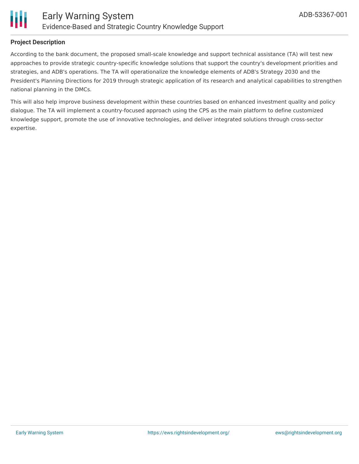

# **Project Description**

According to the bank document, the proposed small-scale knowledge and support technical assistance (TA) will test new approaches to provide strategic country-specific knowledge solutions that support the country's development priorities and strategies, and ADB's operations. The TA will operationalize the knowledge elements of ADB's Strategy 2030 and the President's Planning Directions for 2019 through strategic application of its research and analytical capabilities to strengthen national planning in the DMCs.

This will also help improve business development within these countries based on enhanced investment quality and policy dialogue. The TA will implement a country-focused approach using the CPS as the main platform to define customized knowledge support, promote the use of innovative technologies, and deliver integrated solutions through cross-sector expertise.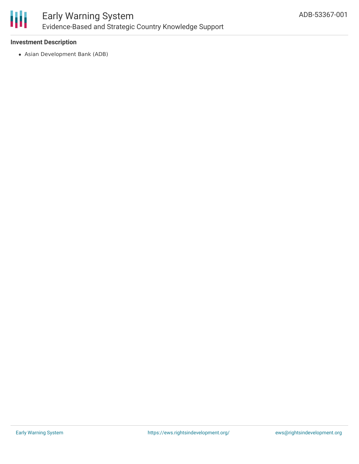

### **Investment Description**

Asian Development Bank (ADB)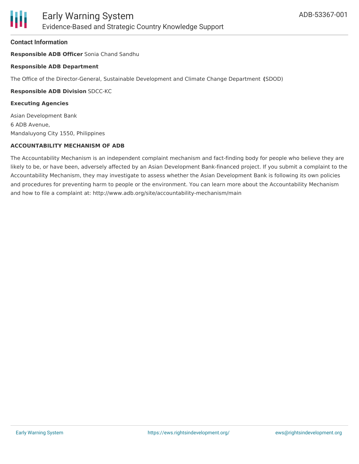#### **Contact Information**

**Responsible ADB Officer** Sonia Chand Sandhu

#### **Responsible ADB Department**

The Office of the Director-General, Sustainable Development and Climate Change Department **(**SDOD)

#### **Responsible ADB Division** SDCC-KC

#### **Executing Agencies**

Asian Development Bank 6 ADB Avenue, Mandaluyong City 1550, Philippines

#### **ACCOUNTABILITY MECHANISM OF ADB**

The Accountability Mechanism is an independent complaint mechanism and fact-finding body for people who believe they are likely to be, or have been, adversely affected by an Asian Development Bank-financed project. If you submit a complaint to the Accountability Mechanism, they may investigate to assess whether the Asian Development Bank is following its own policies and procedures for preventing harm to people or the environment. You can learn more about the Accountability Mechanism and how to file a complaint at: http://www.adb.org/site/accountability-mechanism/main